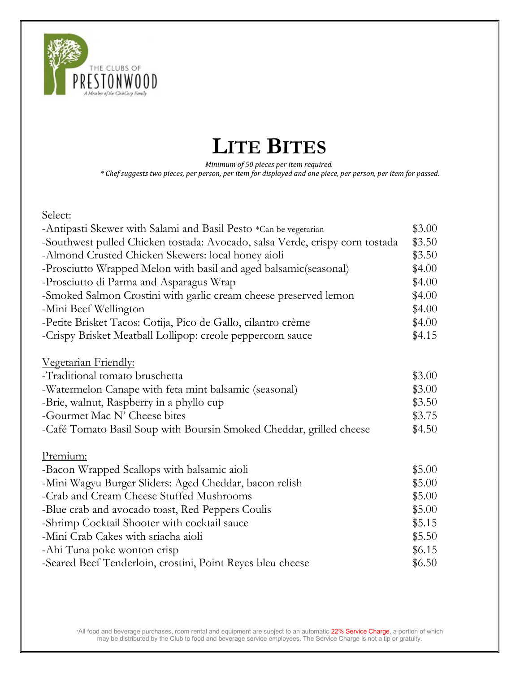

### LITE BITES

Minimum of 50 pieces per item required.

\* Chef suggests two pieces, per person, per item for displayed and one piece, per person, per item for passed.

Select:

| -Antipasti Skewer with Salami and Basil Pesto *Can be vegetarian             | \$3.00 |
|------------------------------------------------------------------------------|--------|
| -Southwest pulled Chicken tostada: Avocado, salsa Verde, crispy corn tostada | \$3.50 |
| -Almond Crusted Chicken Skewers: local honey aioli                           | \$3.50 |
| -Prosciutto Wrapped Melon with basil and aged balsamic (seasonal)            | \$4.00 |
| -Prosciutto di Parma and Asparagus Wrap                                      | \$4.00 |
| -Smoked Salmon Crostini with garlic cream cheese preserved lemon             | \$4.00 |
| -Mini Beef Wellington                                                        | \$4.00 |
| -Petite Brisket Tacos: Cotija, Pico de Gallo, cilantro crème                 | \$4.00 |
| -Crispy Brisket Meatball Lollipop: creole peppercorn sauce                   | \$4.15 |
| Vegetarian Friendly:                                                         |        |
| -Traditional tomato bruschetta                                               | \$3.00 |
| -Watermelon Canape with feta mint balsamic (seasonal)                        | \$3.00 |
| -Brie, walnut, Raspberry in a phyllo cup                                     | \$3.50 |
| -Gourmet Mac N' Cheese bites                                                 | \$3.75 |
| -Café Tomato Basil Soup with Boursin Smoked Cheddar, grilled cheese          | \$4.50 |
| Premium:                                                                     |        |
| -Bacon Wrapped Scallops with balsamic aioli                                  | \$5.00 |
| -Mini Wagyu Burger Sliders: Aged Cheddar, bacon relish                       | \$5.00 |
| -Crab and Cream Cheese Stuffed Mushrooms                                     | \$5.00 |
| -Blue crab and avocado toast, Red Peppers Coulis                             | \$5.00 |
| -Shrimp Cocktail Shooter with cocktail sauce                                 | \$5.15 |
| -Mini Crab Cakes with sriacha aioli                                          | \$5.50 |
| -Ahi Tuna poke wonton crisp                                                  | \$6.15 |
| -Seared Beef Tenderloin, crostini, Point Reyes bleu cheese                   | \$6.50 |
|                                                                              |        |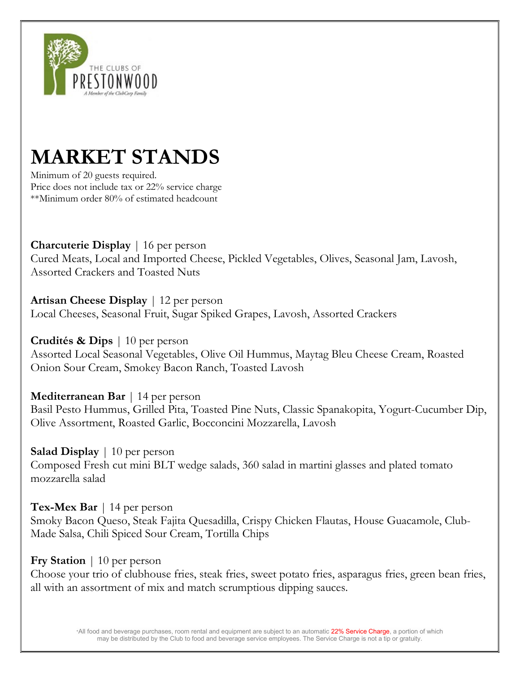

## MARKET STANDS

Minimum of 20 guests required. Price does not include tax or 22% service charge \*\*Minimum order 80% of estimated headcount

Charcuterie Display | 16 per person Cured Meats, Local and Imported Cheese, Pickled Vegetables, Olives, Seasonal Jam, Lavosh, Assorted Crackers and Toasted Nuts

Artisan Cheese Display | 12 per person Local Cheeses, Seasonal Fruit, Sugar Spiked Grapes, Lavosh, Assorted Crackers

Crudités & Dips | 10 per person Assorted Local Seasonal Vegetables, Olive Oil Hummus, Maytag Bleu Cheese Cream, Roasted Onion Sour Cream, Smokey Bacon Ranch, Toasted Lavosh

Mediterranean Bar | 14 per person Basil Pesto Hummus, Grilled Pita, Toasted Pine Nuts, Classic Spanakopita, Yogurt-Cucumber Dip, Olive Assortment, Roasted Garlic, Bocconcini Mozzarella, Lavosh

Salad Display | 10 per person Composed Fresh cut mini BLT wedge salads, 360 salad in martini glasses and plated tomato mozzarella salad

Tex-Mex Bar  $\vert$  14 per person Smoky Bacon Queso, Steak Fajita Quesadilla, Crispy Chicken Flautas, House Guacamole, Club-Made Salsa, Chili Spiced Sour Cream, Tortilla Chips

Fry Station | 10 per person

Choose your trio of clubhouse fries, steak fries, sweet potato fries, asparagus fries, green bean fries, all with an assortment of mix and match scrumptious dipping sauces.